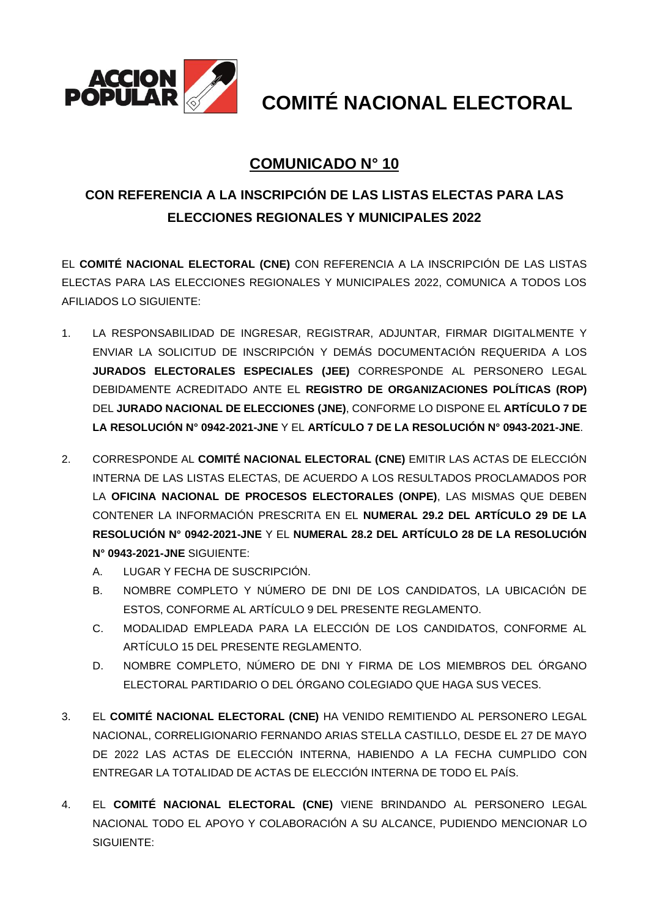

**COMITÉ NACIONAL ELECTORAL**

## **COMUNICADO N° 10**

## **CON REFERENCIA A LA INSCRIPCIÓN DE LAS LISTAS ELECTAS PARA LAS ELECCIONES REGIONALES Y MUNICIPALES 2022**

EL **COMITÉ NACIONAL ELECTORAL (CNE)** CON REFERENCIA A LA INSCRIPCIÓN DE LAS LISTAS ELECTAS PARA LAS ELECCIONES REGIONALES Y MUNICIPALES 2022, COMUNICA A TODOS LOS AFILIADOS LO SIGUIENTE:

- 1. LA RESPONSABILIDAD DE INGRESAR, REGISTRAR, ADJUNTAR, FIRMAR DIGITALMENTE Y ENVIAR LA SOLICITUD DE INSCRIPCIÓN Y DEMÁS DOCUMENTACIÓN REQUERIDA A LOS **JURADOS ELECTORALES ESPECIALES (JEE)** CORRESPONDE AL PERSONERO LEGAL DEBIDAMENTE ACREDITADO ANTE EL **REGISTRO DE ORGANIZACIONES POLÍTICAS (ROP)** DEL **JURADO NACIONAL DE ELECCIONES (JNE)**, CONFORME LO DISPONE EL **ARTÍCULO 7 DE LA RESOLUCIÓN N° 0942-2021-JNE** Y EL **ARTÍCULO 7 DE LA RESOLUCIÓN N° 0943-2021-JNE**.
- 2. CORRESPONDE AL **COMITÉ NACIONAL ELECTORAL (CNE)** EMITIR LAS ACTAS DE ELECCIÓN INTERNA DE LAS LISTAS ELECTAS, DE ACUERDO A LOS RESULTADOS PROCLAMADOS POR LA **OFICINA NACIONAL DE PROCESOS ELECTORALES (ONPE)**, LAS MISMAS QUE DEBEN CONTENER LA INFORMACIÓN PRESCRITA EN EL **NUMERAL 29.2 DEL ARTÍCULO 29 DE LA RESOLUCIÓN N° 0942-2021-JNE** Y EL **NUMERAL 28.2 DEL ARTÍCULO 28 DE LA RESOLUCIÓN N° 0943-2021-JNE** SIGUIENTE:
	- A. LUGAR Y FECHA DE SUSCRIPCIÓN.
	- B. NOMBRE COMPLETO Y NÚMERO DE DNI DE LOS CANDIDATOS, LA UBICACIÓN DE ESTOS, CONFORME AL ARTÍCULO 9 DEL PRESENTE REGLAMENTO.
	- C. MODALIDAD EMPLEADA PARA LA ELECCIÓN DE LOS CANDIDATOS, CONFORME AL ARTÍCULO 15 DEL PRESENTE REGLAMENTO.
	- D. NOMBRE COMPLETO, NÚMERO DE DNI Y FIRMA DE LOS MIEMBROS DEL ÓRGANO ELECTORAL PARTIDARIO O DEL ÓRGANO COLEGIADO QUE HAGA SUS VECES.
- 3. EL **COMITÉ NACIONAL ELECTORAL (CNE)** HA VENIDO REMITIENDO AL PERSONERO LEGAL NACIONAL, CORRELIGIONARIO FERNANDO ARIAS STELLA CASTILLO, DESDE EL 27 DE MAYO DE 2022 LAS ACTAS DE ELECCIÓN INTERNA, HABIENDO A LA FECHA CUMPLIDO CON ENTREGAR LA TOTALIDAD DE ACTAS DE ELECCIÓN INTERNA DE TODO EL PAÍS.
- 4. EL **COMITÉ NACIONAL ELECTORAL (CNE)** VIENE BRINDANDO AL PERSONERO LEGAL NACIONAL TODO EL APOYO Y COLABORACIÓN A SU ALCANCE, PUDIENDO MENCIONAR LO SIGUIENTE: